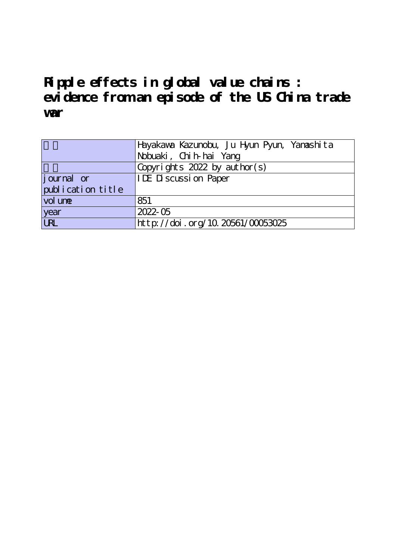# **Ripple effects in global value chains : evidence from an episode of the US China trade war**

|                   | Hayakawa Kazunobu, Ju Hyun Pyun, Yanashita |  |  |  |  |
|-------------------|--------------------------------------------|--|--|--|--|
|                   | Nobuaki, Chih-hai Yang                     |  |  |  |  |
|                   | Copyrights $2022$ by author(s)             |  |  |  |  |
| journal or        | <b>IDE Discussion Paper</b>                |  |  |  |  |
| publication title |                                            |  |  |  |  |
| vol une           | 851                                        |  |  |  |  |
|                   | 2022-05                                    |  |  |  |  |
| year<br>URL       | http://doi.org/10.20561/00053025           |  |  |  |  |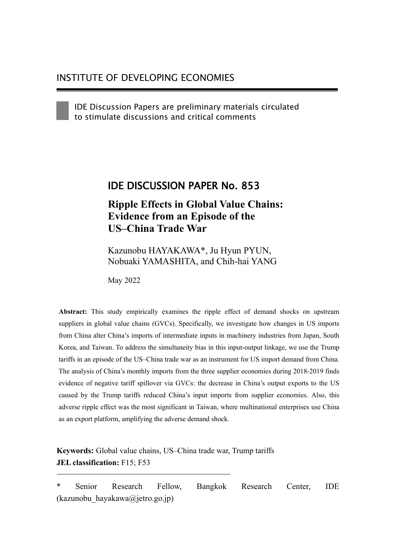IDE Discussion Papers are preliminary materials circulated to stimulate discussions and critical comments

# IDE DISCUSSION PAPER No. 853

# **Ripple Effects in Global Value Chains: Evidence from an Episode of the US–China Trade War**

Kazunobu HAYAKAWA\*, Ju Hyun PYUN, Nobuaki YAMASHITA, and Chih-hai YANG

May 2022

**Abstract:** This study empirically examines the ripple effect of demand shocks on upstream suppliers in global value chains (GVCs). Specifically, we investigate how changes in US imports from China alter China's imports of intermediate inputs in machinery industries from Japan, South Korea, and Taiwan. To address the simultaneity bias in this input-output linkage, we use the Trump tariffs in an episode of the US–China trade war as an instrument for US import demand from China. The analysis of China's monthly imports from the three supplier economies during 2018-2019 finds evidence of negative tariff spillover via GVCs: the decrease in China's output exports to the US caused by the Trump tariffs reduced China's input imports from supplier economies. Also, this adverse ripple effect was the most significant in Taiwan, where multinational enterprises use China as an export platform, amplifying the adverse demand shock.

**Keywords:** Global value chains, US–China trade war, Trump tariffs **JEL classification:** F15; F53

\* Senior Research Fellow, Bangkok Research Center, IDE (kazunobu\_hayakawa@jetro.go.jp)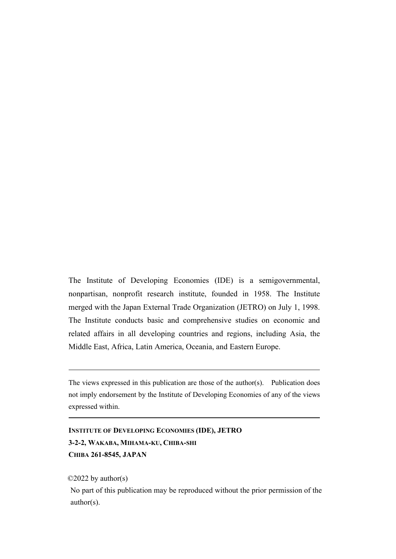The Institute of Developing Economies (IDE) is a semigovernmental, nonpartisan, nonprofit research institute, founded in 1958. The Institute merged with the Japan External Trade Organization (JETRO) on July 1, 1998. The Institute conducts basic and comprehensive studies on economic and related affairs in all developing countries and regions, including Asia, the Middle East, Africa, Latin America, Oceania, and Eastern Europe.

The views expressed in this publication are those of the author(s). Publication does not imply endorsement by the Institute of Developing Economies of any of the views expressed within.

```
INSTITUTE OF DEVELOPING ECONOMIES (IDE), JETRO
3-2-2, WAKABA, MIHAMA-KU, CHIBA-SHI
CHIBA 261-8545, JAPAN
```
©2022 by author(s)

No part of this publication may be reproduced without the prior permission of the author(s).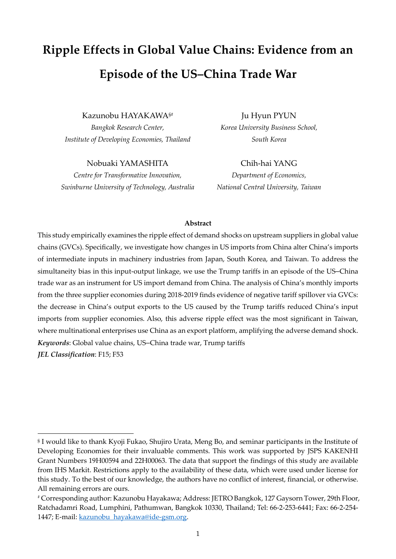# **Ripple Effects in Global Value Chains: Evidence from an Episode of the US–China Trade War**

Kazunobu HAYAKAWA§#

*Bangkok Research Center, Institute of Developing Economies, Thailand*

Nobuaki YAMASHITA

*Centre for Transformative Innovation, Swinburne University of Technology, Australia*

Ju Hyun PYUN *Korea University Business School, South Korea*

Chih-hai YANG *Department of Economics, National Central University, Taiwan*

#### **Abstract**

This study empirically examines the ripple effect of demand shocks on upstream suppliers in global value chains (GVCs). Specifically, we investigate how changes in US imports from China alter China's imports of intermediate inputs in machinery industries from Japan, South Korea, and Taiwan. To address the simultaneity bias in this input-output linkage, we use the Trump tariffs in an episode of the US–China trade war as an instrument for US import demand from China. The analysis of China's monthly imports from the three supplier economies during 2018-2019 finds evidence of negative tariff spillover via GVCs: the decrease in China's output exports to the US caused by the Trump tariffs reduced China's input imports from supplier economies. Also, this adverse ripple effect was the most significant in Taiwan, where multinational enterprises use China as an export platform, amplifying the adverse demand shock. *Keywords*: Global value chains, US–China trade war, Trump tariffs *JEL Classification*: F15; F53

<sup>§</sup> I would like to thank Kyoji Fukao, Shujiro Urata, Meng Bo, and seminar participants in the Institute of Developing Economies for their invaluable comments. This work was supported by JSPS KAKENHI Grant Numbers 19H00594 and 22H00063. The data that support the findings of this study are available from IHS Markit. Restrictions apply to the availability of these data, which were used under license for this study. To the best of our knowledge, the authors have no conflict of interest, financial, or otherwise. All remaining errors are ours.

<sup>#</sup> Corresponding author: Kazunobu Hayakawa; Address: JETRO Bangkok, 127 Gaysorn Tower, 29th Floor, Ratchadamri Road, Lumphini, Pathumwan, Bangkok 10330, Thailand; Tel: 66-2-253-6441; Fax: 66-2-254- 1447; E-mail[: kazunobu\\_hayakawa@ide-gsm.org.](mailto:kazunobu_hayakawa@ide-gsm.org)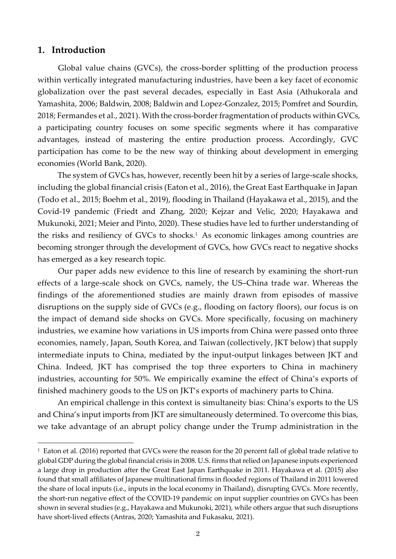# **1. Introduction**

Global value chains (GVCs), the cross-border splitting of the production process within vertically integrated manufacturing industries, have been a key facet of economic globalization over the past several decades, especially in East Asia (Athukorala and Yamashita, 2006; Baldwin, 2008; Baldwin and Lopez-Gonzalez, 2015; Pomfret and Sourdin, 2018; Fermandes et al., 2021). With the cross-border fragmentation of products within GVCs, a participating country focuses on some specific segments where it has comparative advantages, instead of mastering the entire production process. Accordingly, GVC participation has come to be the new way of thinking about development in emerging economies (World Bank, 2020).

The system of GVCs has, however, recently been hit by a series of large-scale shocks, including the global financial crisis (Eaton et al., 2016), the Great East Earthquake in Japan (Todo et al., 2015; Boehm et al., 2019), flooding in Thailand (Hayakawa et al., 2015), and the Covid-19 pandemic (Friedt and Zhang, 2020; Kejzar and Velic, 2020; Hayakawa and Mukunoki, 2021; Meier and Pinto, 2020). These studies have led to further understanding of the risks and resiliency of GVCs to shocks.<sup>1</sup> As economic linkages among countries are becoming stronger through the development of GVCs, how GVCs react to negative shocks has emerged as a key research topic.

Our paper adds new evidence to this line of research by examining the short-run effects of a large-scale shock on GVCs, namely, the US–China trade war. Whereas the findings of the aforementioned studies are mainly drawn from episodes of massive disruptions on the supply side of GVCs (e.g., flooding on factory floors), our focus is on the impact of demand side shocks on GVCs. More specifically, focusing on machinery industries, we examine how variations in US imports from China were passed onto three economies, namely, Japan, South Korea, and Taiwan (collectively, JKT below) that supply intermediate inputs to China, mediated by the input-output linkages between JKT and China. Indeed, JKT has comprised the top three exporters to China in machinery industries, accounting for 50%. We empirically examine the effect of China's exports of finished machinery goods to the US on JKT's exports of machinery parts to China.

An empirical challenge in this context is simultaneity bias: China's exports to the US and China's input imports from JKT are simultaneously determined. To overcome this bias, we take advantage of an abrupt policy change under the Trump administration in the

<sup>&</sup>lt;sup>1</sup> Eaton et al. (2016) reported that GVCs were the reason for the 20 percent fall of global trade relative to global GDP during the global financial crisis in 2008. U.S. firms that relied on Japanese inputs experienced a large drop in production after the Great East Japan Earthquake in 2011. Hayakawa et al. (2015) also found that small affiliates of Japanese multinational firms in flooded regions of Thailand in 2011 lowered the share of local inputs (i.e., inputs in the local economy in Thailand), disrupting GVCs. More recently, the short-run negative effect of the COVID-19 pandemic on input supplier countries on GVCs has been shown in several studies (e.g., Hayakawa and Mukunoki, 2021), while others argue that such disruptions have short-lived effects (Antras, 2020; Yamashita and Fukasaku, 2021).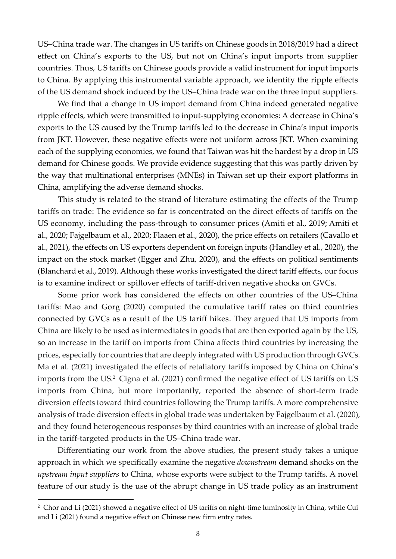US–China trade war. The changes in US tariffs on Chinese goods in 2018/2019 had a direct effect on China's exports to the US, but not on China's input imports from supplier countries. Thus, US tariffs on Chinese goods provide a valid instrument for input imports to China. By applying this instrumental variable approach, we identify the ripple effects of the US demand shock induced by the US–China trade war on the three input suppliers.

We find that a change in US import demand from China indeed generated negative ripple effects, which were transmitted to input-supplying economies: A decrease in China's exports to the US caused by the Trump tariffs led to the decrease in China's input imports from JKT. However, these negative effects were not uniform across JKT. When examining each of the supplying economies, we found that Taiwan was hit the hardest by a drop in US demand for Chinese goods. We provide evidence suggesting that this was partly driven by the way that multinational enterprises (MNEs) in Taiwan set up their export platforms in China, amplifying the adverse demand shocks.

This study is related to the strand of literature estimating the effects of the Trump tariffs on trade: The evidence so far is concentrated on the direct effects of tariffs on the US economy, including the pass-through to consumer prices (Amiti et al., 2019; Amiti et al., 2020; Fajgelbaum et al., 2020; Flaaen et al., 2020), the price effects on retailers (Cavallo et al., 2021), the effects on US exporters dependent on foreign inputs (Handley et al., 2020), the impact on the stock market (Egger and Zhu, 2020), and the effects on political sentiments (Blanchard et al., 2019). Although these works investigated the direct tariff effects, our focus is to examine indirect or spillover effects of tariff-driven negative shocks on GVCs.

Some prior work has considered the effects on other countries of the US–China tariffs: Mao and Gorg (2020) computed the cumulative tariff rates on third countries connected by GVCs as a result of the US tariff hikes. They argued that US imports from China are likely to be used as intermediates in goods that are then exported again by the US, so an increase in the tariff on imports from China affects third countries by increasing the prices, especially for countries that are deeply integrated with US production through GVCs. Ma et al. (2021) investigated the effects of retaliatory tariffs imposed by China on China's imports from the US. <sup>2</sup> Cigna et al. (2021) confirmed the negative effect of US tariffs on US imports from China, but more importantly, reported the absence of short-term trade diversion effects toward third countries following the Trump tariffs. A more comprehensive analysis of trade diversion effects in global trade was undertaken by Fajgelbaum et al. (2020), and they found heterogeneous responses by third countries with an increase of global trade in the tariff-targeted products in the US–China trade war.

Differentiating our work from the above studies, the present study takes a unique approach in which we specifically examine the negative *downstream* demand shocks on the *upstream input suppliers* to China, whose exports were subject to the Trump tariffs. A novel feature of our study is the use of the abrupt change in US trade policy as an instrument

<sup>2</sup> Chor and Li (2021) showed a negative effect of US tariffs on night-time luminosity in China, while Cui and Li (2021) found a negative effect on Chinese new firm entry rates.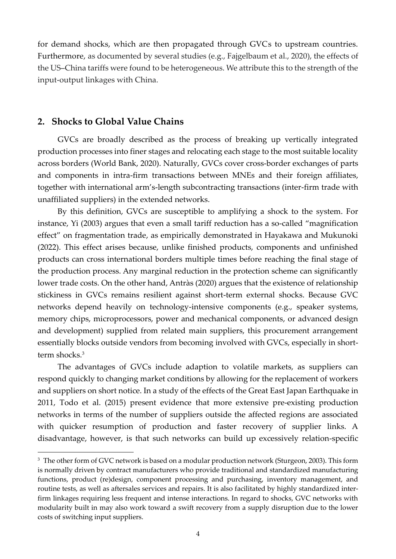for demand shocks, which are then propagated through GVCs to upstream countries. Furthermore, as documented by several studies (e.g., Fajgelbaum et al., 2020), the effects of the US–China tariffs were found to be heterogeneous. We attribute this to the strength of the input-output linkages with China.

## **2. Shocks to Global Value Chains**

GVCs are broadly described as the process of breaking up vertically integrated production processes into finer stages and relocating each stage to the most suitable locality across borders (World Bank, 2020). Naturally, GVCs cover cross-border exchanges of parts and components in intra-firm transactions between MNEs and their foreign affiliates, together with international arm's-length subcontracting transactions (inter-firm trade with unaffiliated suppliers) in the extended networks.

By this definition, GVCs are susceptible to amplifying a shock to the system. For instance, Yi (2003) argues that even a small tariff reduction has a so-called "magnification effect" on fragmentation trade, as empirically demonstrated in Hayakawa and Mukunoki (2022). This effect arises because, unlike finished products, components and unfinished products can cross international borders multiple times before reaching the final stage of the production process. Any marginal reduction in the protection scheme can significantly lower trade costs. On the other hand, Antràs (2020) argues that the existence of relationship stickiness in GVCs remains resilient against short-term external shocks. Because GVC networks depend heavily on technology-intensive components (e.g., speaker systems, memory chips, microprocessors, power and mechanical components, or advanced design and development) supplied from related main suppliers, this procurement arrangement essentially blocks outside vendors from becoming involved with GVCs, especially in shortterm shocks.<sup>3</sup>

The advantages of GVCs include adaption to volatile markets, as suppliers can respond quickly to changing market conditions by allowing for the replacement of workers and suppliers on short notice. In a study of the effects of the Great East Japan Earthquake in 2011, Todo et al. (2015) present evidence that more extensive pre-existing production networks in terms of the number of suppliers outside the affected regions are associated with quicker resumption of production and faster recovery of supplier links. A disadvantage, however, is that such networks can build up excessively relation-specific

<sup>&</sup>lt;sup>3</sup> The other form of GVC network is based on a modular production network (Sturgeon, 2003). This form is normally driven by contract manufacturers who provide traditional and standardized manufacturing functions, product (re)design, component processing and purchasing, inventory management, and routine tests, as well as aftersales services and repairs. It is also facilitated by highly standardized interfirm linkages requiring less frequent and intense interactions. In regard to shocks, GVC networks with modularity built in may also work toward a swift recovery from a supply disruption due to the lower costs of switching input suppliers.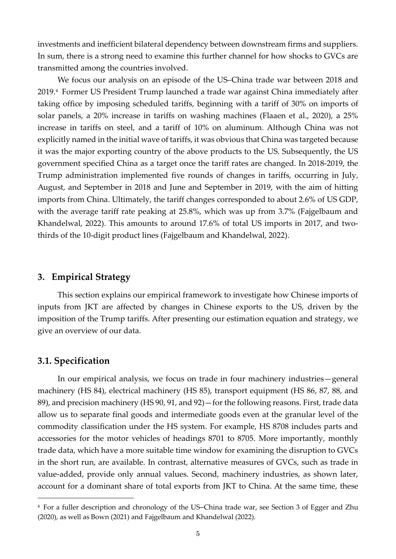investments and inefficient bilateral dependency between downstream firms and suppliers. In sum, there is a strong need to examine this further channel for how shocks to GVCs are transmitted among the countries involved.

We focus our analysis on an episode of the US–China trade war between 2018 and 2019.<sup>4</sup> Former US President Trump launched a trade war against China immediately after taking office by imposing scheduled tariffs, beginning with a tariff of 30% on imports of solar panels, a 20% increase in tariffs on washing machines (Flaaen et al., 2020), a 25% increase in tariffs on steel, and a tariff of 10% on aluminum. Although China was not explicitly named in the initial wave of tariffs, it was obvious that China was targeted because it was the major exporting country of the above products to the US. Subsequently, the US government specified China as a target once the tariff rates are changed. In 2018-2019, the Trump administration implemented five rounds of changes in tariffs, occurring in July, August, and September in 2018 and June and September in 2019, with the aim of hitting imports from China. Ultimately, the tariff changes corresponded to about 2.6% of US GDP, with the average tariff rate peaking at 25.8%, which was up from 3.7% (Fajgelbaum and Khandelwal, 2022). This amounts to around 17.6% of total US imports in 2017, and twothirds of the 10-digit product lines (Fajgelbaum and Khandelwal, 2022).

# **3. Empirical Strategy**

This section explains our empirical framework to investigate how Chinese imports of inputs from JKT are affected by changes in Chinese exports to the US, driven by the imposition of the Trump tariffs. After presenting our estimation equation and strategy, we give an overview of our data.

# **3.1. Specification**

In our empirical analysis, we focus on trade in four machinery industries—general machinery (HS 84), electrical machinery (HS 85), transport equipment (HS 86, 87, 88, and 89), and precision machinery (HS 90, 91, and 92)—for the following reasons. First, trade data allow us to separate final goods and intermediate goods even at the granular level of the commodity classification under the HS system. For example, HS 8708 includes parts and accessories for the motor vehicles of headings 8701 to 8705. More importantly, monthly trade data, which have a more suitable time window for examining the disruption to GVCs in the short run, are available. In contrast, alternative measures of GVCs, such as trade in value-added, provide only annual values. Second, machinery industries, as shown later, account for a dominant share of total exports from JKT to China. At the same time, these

<sup>4</sup> For a fuller description and chronology of the US–China trade war, see Section 3 of Egger and Zhu (2020), as well as Bown (2021) and Fajgelbaum and Khandelwal (2022).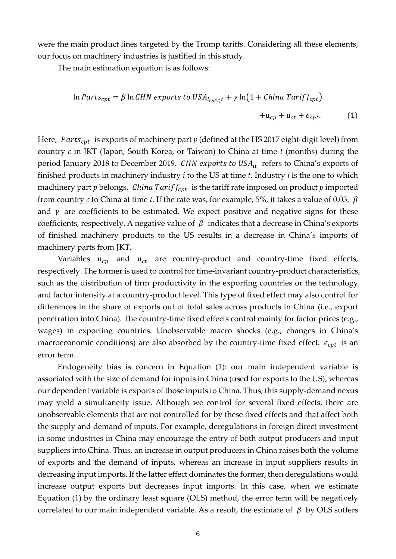were the main product lines targeted by the Trump tariffs. Considering all these elements, our focus on machinery industries is justified in this study.

The main estimation equation is as follows:

$$
\ln \text{Parts}_{cpt} = \beta \ln \text{CHN exports to USA}_{i_{(pei)t}} + \gamma \ln \left( 1 + \text{China Tariff}_{cpt} \right) + u_{cp} + u_{ct} + \epsilon_{cpt}. \tag{1}
$$

Here, Parts<sub>cpt</sub> is exports of machinery part  $p$  (defined at the HS 2017 eight-digit level) from country *c* in JKT (Japan, South Korea, or Taiwan) to China at time *t* (months) during the period January 2018 to December 2019. CHN exports to  $USA_{it}$  refers to China's exports of finished products in machinery industry *i* to the US at time *t*. Industry *i* is the one to which machinery part  $p$  belongs. *China Tariff<sub>cpt</sub>* is the tariff rate imposed on product  $p$  imported from country *c* to China at time *t*. If the rate was, for example, 5%, it takes a value of 0.05.  $\beta$ and  $\gamma$  are coefficients to be estimated. We expect positive and negative signs for these coefficients, respectively. A negative value of  $\beta$  indicates that a decrease in China's exports of finished machinery products to the US results in a decrease in China's imports of machinery parts from JKT.

Variables  $u_{cp}$  and  $u_{ct}$  are country-product and country-time fixed effects, respectively. The former is used to control for time-invariant country-product characteristics, such as the distribution of firm productivity in the exporting countries or the technology and factor intensity at a country-product level. This type of fixed effect may also control for differences in the share of exports out of total sales across products in China (i.e., export penetration into China). The country-time fixed effects control mainly for factor prices (e.g., wages) in exporting countries. Unobservable macro shocks (e.g., changes in China's macroeconomic conditions) are also absorbed by the country-time fixed effect.  $\epsilon_{\text{cpt}}$  is an error term.

Endogeneity bias is concern in Equation (1): our main independent variable is associated with the size of demand for inputs in China (used for exports to the US), whereas our dependent variable is exports of those inputs to China. Thus, this supply-demand nexus may yield a simultaneity issue. Although we control for several fixed effects, there are unobservable elements that are not controlled for by these fixed effects and that affect both the supply and demand of inputs. For example, deregulations in foreign direct investment in some industries in China may encourage the entry of both output producers and input suppliers into China. Thus, an increase in output producers in China raises both the volume of exports and the demand of inputs, whereas an increase in input suppliers results in decreasing input imports. If the latter effect dominates the former, then deregulations would increase output exports but decreases input imports. In this case, when we estimate Equation (1) by the ordinary least square (OLS) method, the error term will be negatively correlated to our main independent variable. As a result, the estimate of  $\beta$  by OLS suffers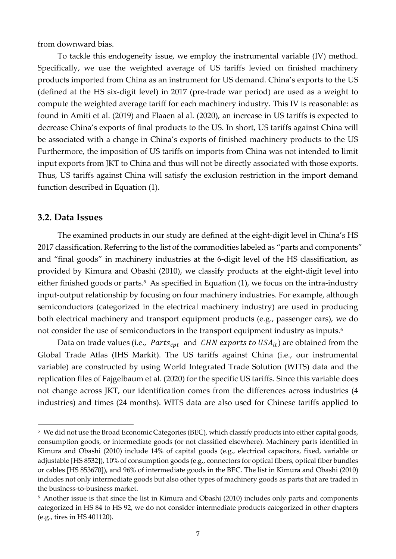from downward bias.

To tackle this endogeneity issue, we employ the instrumental variable (IV) method. Specifically, we use the weighted average of US tariffs levied on finished machinery products imported from China as an instrument for US demand. China's exports to the US (defined at the HS six-digit level) in 2017 (pre-trade war period) are used as a weight to compute the weighted average tariff for each machinery industry. This IV is reasonable: as found in Amiti et al. (2019) and Flaaen al al. (2020), an increase in US tariffs is expected to decrease China's exports of final products to the US. In short, US tariffs against China will be associated with a change in China's exports of finished machinery products to the US Furthermore, the imposition of US tariffs on imports from China was not intended to limit input exports from JKT to China and thus will not be directly associated with those exports. Thus, US tariffs against China will satisfy the exclusion restriction in the import demand function described in Equation (1).

### **3.2. Data Issues**

The examined products in our study are defined at the eight-digit level in China's HS 2017 classification. Referring to the list of the commodities labeled as "parts and components" and "final goods" in machinery industries at the 6-digit level of the HS classification, as provided by Kimura and Obashi (2010), we classify products at the eight-digit level into either finished goods or parts. <sup>5</sup> As specified in Equation (1), we focus on the intra-industry input-output relationship by focusing on four machinery industries. For example, although semiconductors (categorized in the electrical machinery industry) are used in producing both electrical machinery and transport equipment products (e.g., passenger cars), we do not consider the use of semiconductors in the transport equipment industry as inputs.<sup>6</sup>

Data on trade values (i.e., *Parts<sub>cpt</sub>* and *CHN exports to USA<sub>it</sub>*) are obtained from the Global Trade Atlas (IHS Markit). The US tariffs against China (i.e., our instrumental variable) are constructed by using World Integrated Trade Solution (WITS) data and the replication files of Fajgelbaum et al. (2020) for the specific US tariffs. Since this variable does not change across JKT, our identification comes from the differences across industries (4 industries) and times (24 months). WITS data are also used for Chinese tariffs applied to

<sup>5</sup> We did not use the Broad Economic Categories (BEC), which classify products into either capital goods, consumption goods, or intermediate goods (or not classified elsewhere). Machinery parts identified in Kimura and Obashi (2010) include 14% of capital goods (e.g., electrical capacitors, fixed, variable or adjustable [HS 8532]), 10% of consumption goods (e.g., connectors for optical fibers, optical fiber bundles or cables [HS 853670]), and 96% of intermediate goods in the BEC. The list in Kimura and Obashi (2010) includes not only intermediate goods but also other types of machinery goods as parts that are traded in the business-to-business market.

<sup>6</sup> Another issue is that since the list in Kimura and Obashi (2010) includes only parts and components categorized in HS 84 to HS 92, we do not consider intermediate products categorized in other chapters (e.g., tires in HS 401120).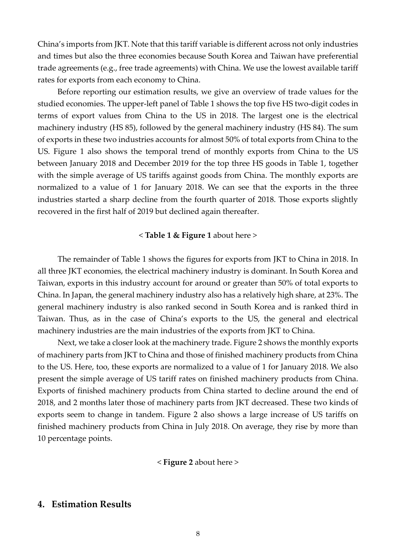China's imports from JKT. Note that this tariff variable is different across not only industries and times but also the three economies because South Korea and Taiwan have preferential trade agreements (e.g., free trade agreements) with China. We use the lowest available tariff rates for exports from each economy to China.

Before reporting our estimation results, we give an overview of trade values for the studied economies. The upper-left panel of Table 1 shows the top five HS two-digit codes in terms of export values from China to the US in 2018. The largest one is the electrical machinery industry (HS 85), followed by the general machinery industry (HS 84). The sum of exports in these two industries accounts for almost 50% of total exports from China to the US. Figure 1 also shows the temporal trend of monthly exports from China to the US between January 2018 and December 2019 for the top three HS goods in Table 1, together with the simple average of US tariffs against goods from China. The monthly exports are normalized to a value of 1 for January 2018. We can see that the exports in the three industries started a sharp decline from the fourth quarter of 2018. Those exports slightly recovered in the first half of 2019 but declined again thereafter.

#### < **Table 1 & Figure 1** about here >

The remainder of Table 1 shows the figures for exports from JKT to China in 2018. In all three JKT economies, the electrical machinery industry is dominant. In South Korea and Taiwan, exports in this industry account for around or greater than 50% of total exports to China. In Japan, the general machinery industry also has a relatively high share, at 23%. The general machinery industry is also ranked second in South Korea and is ranked third in Taiwan. Thus, as in the case of China's exports to the US, the general and electrical machinery industries are the main industries of the exports from JKT to China.

Next, we take a closer look at the machinery trade. Figure 2 shows the monthly exports of machinery parts from JKT to China and those of finished machinery products from China to the US. Here, too, these exports are normalized to a value of 1 for January 2018. We also present the simple average of US tariff rates on finished machinery products from China. Exports of finished machinery products from China started to decline around the end of 2018, and 2 months later those of machinery parts from JKT decreased. These two kinds of exports seem to change in tandem. Figure 2 also shows a large increase of US tariffs on finished machinery products from China in July 2018. On average, they rise by more than 10 percentage points.

< **Figure 2** about here >

# **4. Estimation Results**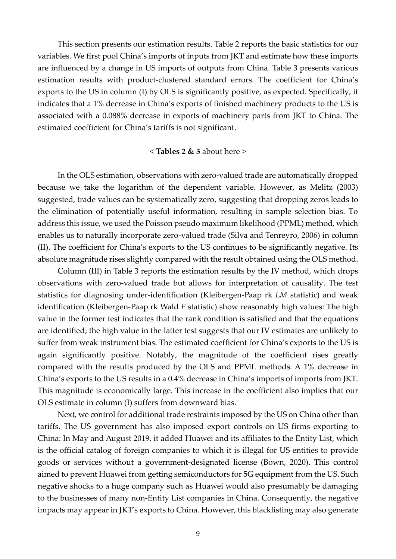This section presents our estimation results. Table 2 reports the basic statistics for our variables. We first pool China's imports of inputs from JKT and estimate how these imports are influenced by a change in US imports of outputs from China. Table 3 presents various estimation results with product-clustered standard errors. The coefficient for China's exports to the US in column (I) by OLS is significantly positive, as expected. Specifically, it indicates that a 1% decrease in China's exports of finished machinery products to the US is associated with a 0.088% decrease in exports of machinery parts from JKT to China. The estimated coefficient for China's tariffs is not significant.

#### < **Tables 2 & 3** about here >

In the OLS estimation, observations with zero-valued trade are automatically dropped because we take the logarithm of the dependent variable. However, as Melitz (2003) suggested, trade values can be systematically zero, suggesting that dropping zeros leads to the elimination of potentially useful information, resulting in sample selection bias. To address this issue, we used the Poisson pseudo maximum likelihood (PPML) method, which enables us to naturally incorporate zero-valued trade (Silva and Tenreyro, 2006) in column (II). The coefficient for China's exports to the US continues to be significantly negative. Its absolute magnitude rises slightly compared with the result obtained using the OLS method.

Column (III) in Table 3 reports the estimation results by the IV method, which drops observations with zero-valued trade but allows for interpretation of causality. The test statistics for diagnosing under-identification (Kleibergen-Paap rk *LM* statistic) and weak identification (Kleibergen-Paap rk Wald *F* statistic) show reasonably high values: The high value in the former test indicates that the rank condition is satisfied and that the equations are identified; the high value in the latter test suggests that our IV estimates are unlikely to suffer from weak instrument bias. The estimated coefficient for China's exports to the US is again significantly positive. Notably, the magnitude of the coefficient rises greatly compared with the results produced by the OLS and PPML methods. A 1% decrease in China's exports to the US results in a 0.4% decrease in China's imports of imports from JKT. This magnitude is economically large. This increase in the coefficient also implies that our OLS estimate in column (I) suffers from downward bias.

Next, we control for additional trade restraints imposed by the US on China other than tariffs. The US government has also imposed export controls on US firms exporting to China: In May and August 2019, it added Huawei and its affiliates to the Entity List, which is the official catalog of foreign companies to which it is illegal for US entities to provide goods or services without a government-designated license (Bown, 2020). This control aimed to prevent Huawei from getting semiconductors for 5G equipment from the US. Such negative shocks to a huge company such as Huawei would also presumably be damaging to the businesses of many non-Entity List companies in China. Consequently, the negative impacts may appear in JKT's exports to China. However, this blacklisting may also generate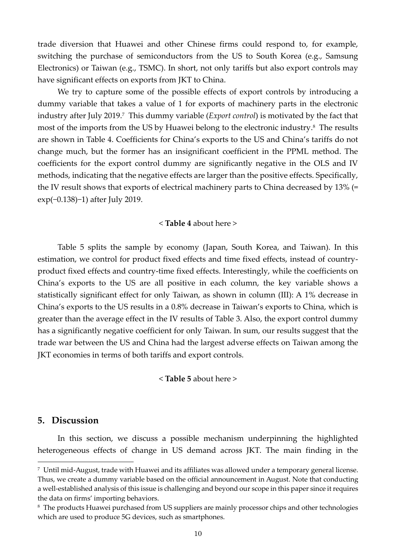trade diversion that Huawei and other Chinese firms could respond to, for example, switching the purchase of semiconductors from the US to South Korea (e.g., Samsung Electronics) or Taiwan (e.g., TSMC). In short, not only tariffs but also export controls may have significant effects on exports from JKT to China.

We try to capture some of the possible effects of export controls by introducing a dummy variable that takes a value of 1 for exports of machinery parts in the electronic industry after July 2019.<sup>7</sup> This dummy variable (*Export control*) is motivated by the fact that most of the imports from the US by Huawei belong to the electronic industry. <sup>8</sup> The results are shown in Table 4. Coefficients for China's exports to the US and China's tariffs do not change much, but the former has an insignificant coefficient in the PPML method. The coefficients for the export control dummy are significantly negative in the OLS and IV methods, indicating that the negative effects are larger than the positive effects. Specifically, the IV result shows that exports of electrical machinery parts to China decreased by 13% (= exp(−0.138)−1) after July 2019.

#### < **Table 4** about here >

Table 5 splits the sample by economy (Japan, South Korea, and Taiwan). In this estimation, we control for product fixed effects and time fixed effects, instead of countryproduct fixed effects and country-time fixed effects. Interestingly, while the coefficients on China's exports to the US are all positive in each column, the key variable shows a statistically significant effect for only Taiwan, as shown in column (III): A 1% decrease in China's exports to the US results in a 0.8% decrease in Taiwan's exports to China, which is greater than the average effect in the IV results of Table 3. Also, the export control dummy has a significantly negative coefficient for only Taiwan. In sum, our results suggest that the trade war between the US and China had the largest adverse effects on Taiwan among the JKT economies in terms of both tariffs and export controls.

< **Table 5** about here >

# **5. Discussion**

In this section, we discuss a possible mechanism underpinning the highlighted heterogeneous effects of change in US demand across JKT. The main finding in the

<sup>7</sup> Until mid-August, trade with Huawei and its affiliates was allowed under a temporary general license. Thus, we create a dummy variable based on the official announcement in August. Note that conducting a well-established analysis of this issue is challenging and beyond our scope in this paper since it requires the data on firms' importing behaviors.

<sup>&</sup>lt;sup>8</sup> The products Huawei purchased from US suppliers are mainly processor chips and other technologies which are used to produce 5G devices, such as smartphones.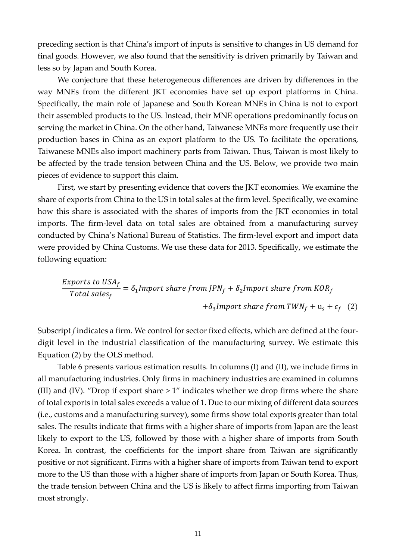preceding section is that China's import of inputs is sensitive to changes in US demand for final goods. However, we also found that the sensitivity is driven primarily by Taiwan and less so by Japan and South Korea.

We conjecture that these heterogeneous differences are driven by differences in the way MNEs from the different JKT economies have set up export platforms in China. Specifically, the main role of Japanese and South Korean MNEs in China is not to export their assembled products to the US. Instead, their MNE operations predominantly focus on serving the market in China. On the other hand, Taiwanese MNEs more frequently use their production bases in China as an export platform to the US. To facilitate the operations, Taiwanese MNEs also import machinery parts from Taiwan. Thus, Taiwan is most likely to be affected by the trade tension between China and the US. Below, we provide two main pieces of evidence to support this claim.

First, we start by presenting evidence that covers the JKT economies. We examine the share of exports from China to the US in total sales at the firm level. Specifically, we examine how this share is associated with the shares of imports from the JKT economies in total imports. The firm-level data on total sales are obtained from a manufacturing survey conducted by China's National Bureau of Statistics. The firm-level export and import data were provided by China Customs. We use these data for 2013. Specifically, we estimate the following equation:

*Express to USA<sub>f</sub>* = 
$$
\delta_1
$$
*Import share from JPN<sub>f</sub>* +  $\delta_2$ *Import share from KOR<sub>f</sub>*  
+ $\delta_3$ *Import share from TWN<sub>f</sub>* +  $u_s$  +  $\epsilon_f$  (2)

Subscript *f* indicates a firm. We control for sector fixed effects, which are defined at the fourdigit level in the industrial classification of the manufacturing survey. We estimate this Equation (2) by the OLS method.

Table 6 presents various estimation results. In columns (I) and (II), we include firms in all manufacturing industries. Only firms in machinery industries are examined in columns (III) and (IV). "Drop if export share > 1" indicates whether we drop firms where the share of total exports in total sales exceeds a value of 1. Due to our mixing of different data sources (i.e., customs and a manufacturing survey), some firms show total exports greater than total sales. The results indicate that firms with a higher share of imports from Japan are the least likely to export to the US, followed by those with a higher share of imports from South Korea. In contrast, the coefficients for the import share from Taiwan are significantly positive or not significant. Firms with a higher share of imports from Taiwan tend to export more to the US than those with a higher share of imports from Japan or South Korea. Thus, the trade tension between China and the US is likely to affect firms importing from Taiwan most strongly.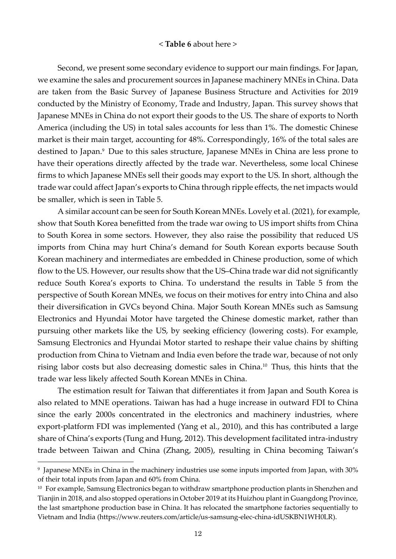#### < **Table 6** about here >

Second, we present some secondary evidence to support our main findings. For Japan, we examine the sales and procurement sources in Japanese machinery MNEs in China. Data are taken from the Basic Survey of Japanese Business Structure and Activities for 2019 conducted by the Ministry of Economy, Trade and Industry, Japan. This survey shows that Japanese MNEs in China do not export their goods to the US. The share of exports to North America (including the US) in total sales accounts for less than 1%. The domestic Chinese market is their main target, accounting for 48%. Correspondingly, 16% of the total sales are destined to Japan.<sup>9</sup> Due to this sales structure, Japanese MNEs in China are less prone to have their operations directly affected by the trade war. Nevertheless, some local Chinese firms to which Japanese MNEs sell their goods may export to the US. In short, although the trade war could affect Japan's exports to China through ripple effects, the net impacts would be smaller, which is seen in Table 5.

A similar account can be seen for South Korean MNEs. Lovely et al. (2021), for example, show that South Korea benefitted from the trade war owing to US import shifts from China to South Korea in some sectors. However, they also raise the possibility that reduced US imports from China may hurt China's demand for South Korean exports because South Korean machinery and intermediates are embedded in Chinese production, some of which flow to the US. However, our results show that the US–China trade war did not significantly reduce South Korea's exports to China. To understand the results in Table 5 from the perspective of South Korean MNEs, we focus on their motives for entry into China and also their diversification in GVCs beyond China. Major South Korean MNEs such as Samsung Electronics and Hyundai Motor have targeted the Chinese domestic market, rather than pursuing other markets like the US, by seeking efficiency (lowering costs). For example, Samsung Electronics and Hyundai Motor started to reshape their value chains by shifting production from China to Vietnam and India even before the trade war, because of not only rising labor costs but also decreasing domestic sales in China.<sup>10</sup> Thus, this hints that the trade war less likely affected South Korean MNEs in China.

The estimation result for Taiwan that differentiates it from Japan and South Korea is also related to MNE operations. Taiwan has had a huge increase in outward FDI to China since the early 2000s concentrated in the electronics and machinery industries, where export-platform FDI was implemented (Yang et al., 2010), and this has contributed a large share of China's exports (Tung and Hung, 2012). This development facilitated intra-industry trade between Taiwan and China (Zhang, 2005), resulting in China becoming Taiwan's

 $^9$  Japanese MNEs in China in the machinery industries use some inputs imported from Japan, with 30%  $^9$ of their total inputs from Japan and 60% from China.

<sup>&</sup>lt;sup>10</sup> For example, Samsung Electronics began to withdraw smartphone production plants in Shenzhen and Tianjin in 2018, and also stopped operations in October 2019 at its Huizhou plant in Guangdong Province, the last smartphone production base in China. It has relocated the smartphone factories sequentially to Vietnam and India (https://www.reuters.com/article/us-samsung-elec-china-idUSKBN1WH0LR).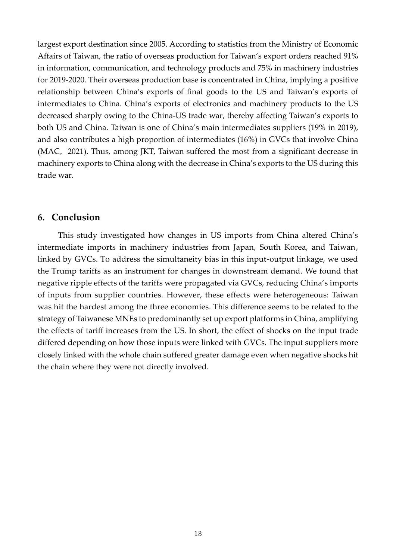largest export destination since 2005. According to statistics from the Ministry of Economic Affairs of Taiwan, the ratio of overseas production for Taiwan's export orders reached 91% in information, communication, and technology products and 75% in machinery industries for 2019-2020. Their overseas production base is concentrated in China, implying a positive relationship between China's exports of final goods to the US and Taiwan's exports of intermediates to China. China's exports of electronics and machinery products to the US decreased sharply owing to the China-US trade war, thereby affecting Taiwan's exports to both US and China. Taiwan is one of China's main intermediates suppliers (19% in 2019), and also contributes a high proportion of intermediates (16%) in GVCs that involve China (MAC, 2021). Thus, among JKT, Taiwan suffered the most from a significant decrease in machinery exports to China along with the decrease in China's exports to the US during this trade war.

# **6. Conclusion**

This study investigated how changes in US imports from China altered China's intermediate imports in machinery industries from Japan, South Korea, and Taiwan, linked by GVCs. To address the simultaneity bias in this input-output linkage, we used the Trump tariffs as an instrument for changes in downstream demand. We found that negative ripple effects of the tariffs were propagated via GVCs, reducing China's imports of inputs from supplier countries. However, these effects were heterogeneous: Taiwan was hit the hardest among the three economies. This difference seems to be related to the strategy of Taiwanese MNEs to predominantly set up export platforms in China, amplifying the effects of tariff increases from the US. In short, the effect of shocks on the input trade differed depending on how those inputs were linked with GVCs. The input suppliers more closely linked with the whole chain suffered greater damage even when negative shocks hit the chain where they were not directly involved.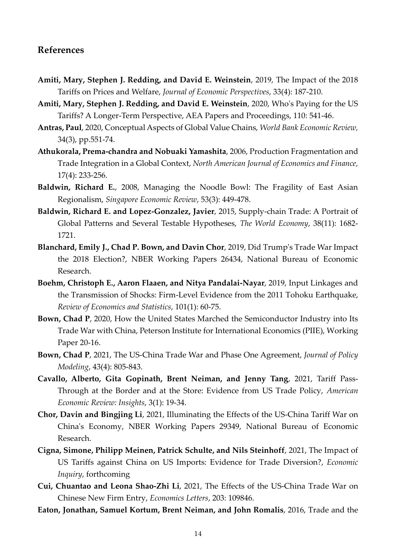# **References**

- **Amiti, Mary, Stephen J. Redding, and David E. Weinstein**, 2019, The Impact of the 2018 Tariffs on Prices and Welfare, *Journal of Economic Perspectives*, 33(4): 187-210.
- **Amiti, Mary, Stephen J. Redding, and David E. Weinstein**, 2020, Who's Paying for the US Tariffs? A Longer-Term Perspective, AEA Papers and Proceedings, 110: 541-46.
- **Antras, Paul**, 2020, Conceptual Aspects of Global Value Chains, *World Bank Economic Review,* 34(3), pp.551-74.
- **Athukorala, Prema-chandra and Nobuaki Yamashita**, 2006, Production Fragmentation and Trade Integration in a Global Context, *North American Journal of Economics and Finance,* 17(4): 233-256.
- **Baldwin, Richard E.**, 2008, Managing the Noodle Bowl: The Fragility of East Asian Regionalism, *Singapore Economic Review*, 53(3): 449-478.
- **Baldwin, Richard E. and Lopez-Gonzalez, Javier**, 2015, Supply-chain Trade: A Portrait of Global Patterns and Several Testable Hypotheses, *The World Economy*, 38(11): 1682- 1721.
- **Blanchard, Emily J., Chad P. Bown, and Davin Chor**, 2019, Did Trump's Trade War Impact the 2018 Election?, NBER Working Papers 26434, National Bureau of Economic Research.
- **Boehm, Christoph E., Aaron Flaaen, and Nitya Pandalai-Nayar**, 2019, Input Linkages and the Transmission of Shocks: Firm-Level Evidence from the 2011 Tohoku Earthquake, *Review of Economics and Statistics*, 101(1): 60-75.
- **Bown, Chad P**, 2020, How the United States Marched the Semiconductor Industry into Its Trade War with China, Peterson Institute for International Economics (PIIE), Working Paper 20-16.
- **Bown, Chad P**, 2021, The US-China Trade War and Phase One Agreement, *Journal of Policy Modeling*, 43(4): 805-843.
- **Cavallo, Alberto, Gita Gopinath, Brent Neiman, and Jenny Tang**, 2021, Tariff Pass-Through at the Border and at the Store: Evidence from US Trade Policy, *American Economic Review: Insights*, 3(1): 19-34.
- **Chor, Davin and Bingjing Li**, 2021, Illuminating the Effects of the US-China Tariff War on China's Economy, NBER Working Papers 29349, National Bureau of Economic Research.
- **Cigna, Simone, Philipp Meinen, Patrick Schulte, and Nils Steinhoff**, 2021, The Impact of US Tariffs against China on US Imports: Evidence for Trade Diversion?, *Economic Inquiry*, forthcoming
- **Cui, Chuantao and Leona Shao-Zhi Li**, 2021, The Effects of the US-China Trade War on Chinese New Firm Entry, *Economics Letters*, 203: 109846.
- **Eaton, Jonathan, Samuel Kortum, Brent Neiman, and John Romalis**, 2016, Trade and the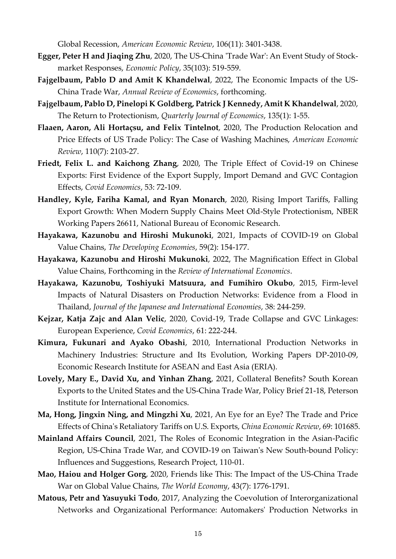Global Recession, *American Economic Review*, 106(11): 3401-3438.

- **Egger, Peter H and Jiaqing Zhu**, 2020, The US-China 'Trade War': An Event Study of Stockmarket Responses, *Economic Policy*, 35(103): 519-559.
- **Fajgelbaum, Pablo D and Amit K Khandelwal**, 2022, The Economic Impacts of the US-China Trade War, *Annual Review of Economics*, forthcoming.
- **Fajgelbaum, Pablo D, Pinelopi K Goldberg, Patrick J Kennedy, Amit K Khandelwal**, 2020, The Return to Protectionism, *Quarterly Journal of Economics*, 135(1): 1-55.
- **Flaaen, Aaron, Ali Hortaçsu, and Felix Tintelnot**, 2020, The Production Relocation and Price Effects of US Trade Policy: The Case of Washing Machines, *American Economic Review*, 110(7): 2103-27.
- **Friedt, Felix L. and Kaichong Zhang**, 2020, The Triple Effect of Covid-19 on Chinese Exports: First Evidence of the Export Supply, Import Demand and GVC Contagion Effects, *Covid Economics*, 53: 72-109.
- **Handley, Kyle, Fariha Kamal, and Ryan Monarch**, 2020, Rising Import Tariffs, Falling Export Growth: When Modern Supply Chains Meet Old-Style Protectionism, NBER Working Papers 26611, National Bureau of Economic Research.
- **Hayakawa, Kazunobu and Hiroshi Mukunoki**, 2021, Impacts of COVID-19 on Global Value Chains, *The Developing Economies*, 59(2): 154-177.
- **Hayakawa, Kazunobu and Hiroshi Mukunoki**, 2022, The Magnification Effect in Global Value Chains, Forthcoming in the *Review of International Economics*.
- **Hayakawa, Kazunobu, Toshiyuki Matsuura, and Fumihiro Okubo**, 2015, Firm-level Impacts of Natural Disasters on Production Networks: Evidence from a Flood in Thailand, *Journal of the Japanese and International Economies*, 38: 244-259.
- **Kejzar, Katja Zajc and Alan Velic**, 2020, Covid-19, Trade Collapse and GVC Linkages: European Experience, *Covid Economics*, 61: 222-244.
- **Kimura, Fukunari and Ayako Obashi**, 2010, International Production Networks in Machinery Industries: Structure and Its Evolution, Working Papers DP-2010-09, Economic Research Institute for ASEAN and East Asia (ERIA).
- **Lovely, Mary E., David Xu, and Yinhan Zhang**, 2021, Collateral Benefits? South Korean Exports to the United States and the US-China Trade War, Policy Brief 21-18, Peterson Institute for International Economics.
- **Ma, Hong, Jingxin Ning, and Mingzhi Xu**, 2021, An Eye for an Eye? The Trade and Price Effects of China's Retaliatory Tariffs on U.S. Exports, *China Economic Review*, 69: 101685.
- **Mainland Affairs Council**, 2021, The Roles of Economic Integration in the Asian-Pacific Region, US-China Trade War, and COVID-19 on Taiwan's New South-bound Policy: Influences and Suggestions, Research Project, 110-01.
- **Mao, Haiou and Holger Gorg**, 2020, Friends like This: The Impact of the US-China Trade War on Global Value Chains, *The World Economy*, 43(7): 1776-1791.
- **Matous, Petr and Yasuyuki Todo**, 2017, Analyzing the Coevolution of Interorganizational Networks and Organizational Performance: Automakers' Production Networks in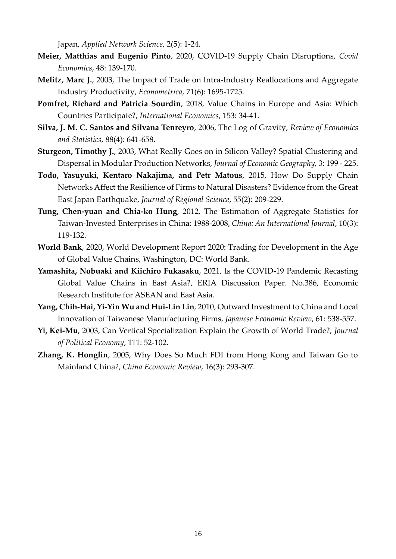Japan, *Applied Network Science*, 2(5): 1-24.

- **Meier, Matthias and Eugenio Pinto**, 2020, COVID-19 Supply Chain Disruptions, *Covid Economics*, 48: 139-170.
- **Melitz, Marc J.**, 2003, The Impact of Trade on Intra-Industry Reallocations and Aggregate Industry Productivity, *Econometrica*, 71(6): 1695-1725.
- **Pomfret, Richard and Patricia Sourdin**, 2018, Value Chains in Europe and Asia: Which Countries Participate?, *International Economics*, 153: 34-41.
- **Silva, J. M. C. Santos and Silvana Tenreyro**, 2006, The Log of Gravity, *Review of Economics and Statistics*, 88(4): 641-658.
- **Sturgeon, Timothy J.**, 2003, What Really Goes on in Silicon Valley? Spatial Clustering and Dispersal in Modular Production Networks, *Journal of Economic Geography,* 3: 199 - 225.
- **Todo, Yasuyuki, Kentaro Nakajima, and Petr Matous**, 2015, How Do Supply Chain Networks Affect the Resilience of Firms to Natural Disasters? Evidence from the Great East Japan Earthquake, *Journal of Regional Science*, 55(2): 209-229.
- **Tung, Chen-yuan and Chia-ko Hung**, 2012, The Estimation of Aggregate Statistics for Taiwan-Invested Enterprises in China: 1988-2008, *China: An International Journal*, 10(3): 119-132.
- **World Bank**, 2020, World Development Report 2020: Trading for Development in the Age of Global Value Chains, Washington, DC: World Bank.
- **Yamashita, Nobuaki and Kiichiro Fukasaku**, 2021, Is the COVID-19 Pandemic Recasting Global Value Chains in East Asia?, ERIA Discussion Paper. No.386, Economic Research Institute for ASEAN and East Asia.
- **Yang, Chih-Hai, Yi-Yin Wu and Hui-Lin Lin**, 2010, Outward Investment to China and Local Innovation of Taiwanese Manufacturing Firms, *Japanese Economic Review*, 61: 538-557.
- **Yi, Kei-Mu**, 2003, Can Vertical Specialization Explain the Growth of World Trade?, *Journal of Political Economy*, 111: 52-102.
- **Zhang, K. Honglin**, 2005, Why Does So Much FDI from Hong Kong and Taiwan Go to Mainland China?, *China Economic Review*, 16(3): 293-307.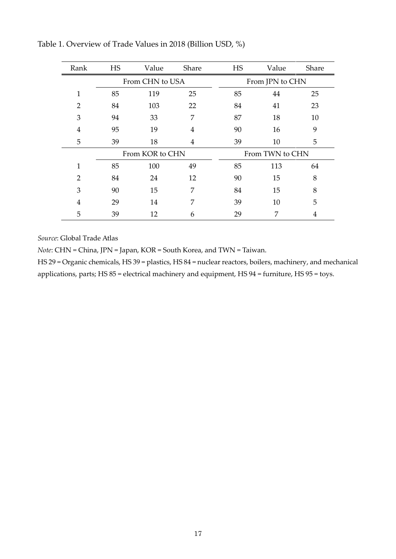| Rank           | <b>HS</b>       | Value | Share | <b>HS</b>       | Value | Share |
|----------------|-----------------|-------|-------|-----------------|-------|-------|
|                | From CHN to USA |       |       | From JPN to CHN |       |       |
| 1              | 85              | 119   | 25    | 85              | 44    | 25    |
| $\overline{2}$ | 84              | 103   | 22    | 84              | 41    | 23    |
| 3              | 94              | 33    | 7     | 87              | 18    | 10    |
| 4              | 95              | 19    | 4     | 90              | 16    | 9     |
| 5              | 39              | 18    | 4     | 39              | 10    | 5     |
|                | From KOR to CHN |       |       | From TWN to CHN |       |       |
| $\mathbf{1}$   | 85              | 100   | 49    | 85              | 113   | 64    |
| $\overline{2}$ | 84              | 24    | 12    | 90              | 15    | 8     |
| 3              | 90              | 15    | 7     | 84              | 15    | 8     |
| 4              | 29              | 14    | 7     | 39              | 10    | 5     |
| 5              | 39              | 12    | 6     | 29              | 7     | 4     |

Table 1. Overview of Trade Values in 2018 (Billion USD, %)

*Source*: Global Trade Atlas

*Note*: CHN = China, JPN = Japan, KOR = South Korea, and TWN = Taiwan.

HS 29 = Organic chemicals, HS 39 = plastics, HS 84 = nuclear reactors, boilers, machinery, and mechanical applications, parts; HS 85 = electrical machinery and equipment, HS 94 = furniture, HS 95 = toys.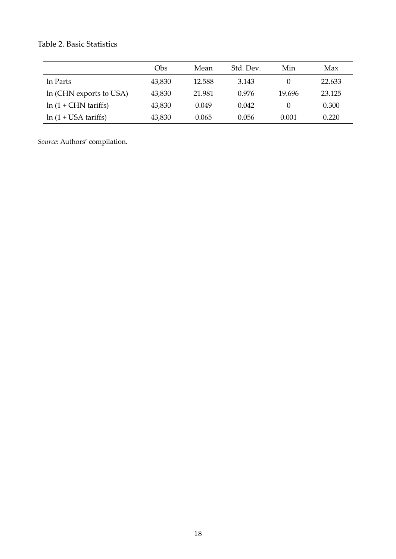# Table 2. Basic Statistics

|                                    | Obs    | Mean   | Std. Dev. | Min    | Max    |
|------------------------------------|--------|--------|-----------|--------|--------|
| In Parts                           | 43,830 | 12.588 | 3.143     |        | 22.633 |
| In (CHN exports to USA)            | 43,830 | 21.981 | 0.976     | 19.696 | 23.125 |
| $ln(1 + CHN \cdot \text{tariffs})$ | 43,830 | 0.049  | 0.042     |        | 0.300  |
| $ln(1 + USA \t{tariffs})$          | 43,830 | 0.065  | 0.056     | 0.001  | 0.220  |

*Source*: Authors' compilation.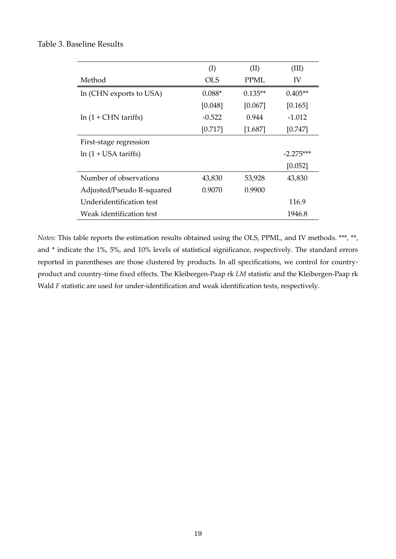#### Table 3. Baseline Results

|                                    | (I)        | (II)      | (III)       |
|------------------------------------|------------|-----------|-------------|
| Method                             | <b>OLS</b> | PPMI.     | IV          |
| In (CHN exports to USA)            | $0.088*$   | $0.135**$ | $0.405**$   |
|                                    | [0.048]    | [0.067]   | [0.165]     |
| $ln(1 + CHN \cdot \text{tariffs})$ | $-0.522$   | 0.944     | $-1.012$    |
|                                    | [0.717]    | $[1.687]$ | [0.747]     |
| First-stage regression             |            |           |             |
| $ln(1 + USA \t{tariffs})$          |            |           | $-2.275***$ |
|                                    |            |           | [0.052]     |
| Number of observations             | 43,830     | 53,928    | 43,830      |
| Adjusted/Pseudo R-squared          | 0.9070     | 0.9900    |             |
| Underidentification test           |            |           | 116.9       |
| Weak identification test           |            |           | 1946.8      |
|                                    |            |           |             |

*Notes*: This table reports the estimation results obtained using the OLS, PPML, and IV methods. \*\*\*, \*\*, and \* indicate the 1%, 5%, and 10% levels of statistical significance, respectively. The standard errors reported in parentheses are those clustered by products. In all specifications, we control for countryproduct and country-time fixed effects. The Kleibergen-Paap rk *LM* statistic and the Kleibergen-Paap rk Wald *F* statistic are used for under-identification and weak identification tests, respectively.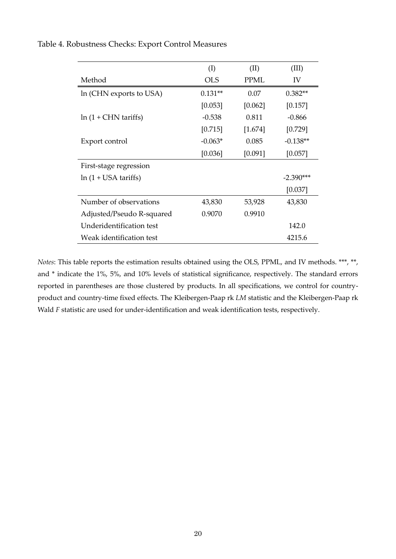|                                    | (I)        | (II)        | (III)       |
|------------------------------------|------------|-------------|-------------|
| Method                             | <b>OLS</b> | <b>PPML</b> | IV          |
| In (CHN exports to USA)            | $0.131**$  | 0.07        | $0.382**$   |
|                                    | [0.053]    | [0.062]     | [0.157]     |
| $ln(1 + CHN \cdot \text{tariffs})$ | $-0.538$   | 0.811       | $-0.866$    |
|                                    | [0.715]    | [1.674]     | [0.729]     |
| Export control                     | $-0.063*$  | 0.085       | $-0.138**$  |
|                                    | [0.036]    | [0.091]     | [0.057]     |
| First-stage regression             |            |             |             |
| $ln(1 + USA \t{tariffs})$          |            |             | $-2.390***$ |
|                                    |            |             | [0.037]     |
| Number of observations             | 43,830     | 53,928      | 43,830      |
| Adjusted/Pseudo R-squared          | 0.9070     | 0.9910      |             |
| Underidentification test           |            |             | 142.0       |
| Weak identification test           |            |             | 4215.6      |

Table 4. Robustness Checks: Export Control Measures

*Notes*: This table reports the estimation results obtained using the OLS, PPML, and IV methods. \*\*\*, \*\*, and \* indicate the 1%, 5%, and 10% levels of statistical significance, respectively. The standard errors reported in parentheses are those clustered by products. In all specifications, we control for countryproduct and country-time fixed effects. The Kleibergen-Paap rk *LM* statistic and the Kleibergen-Paap rk Wald *F* statistic are used for under-identification and weak identification tests, respectively.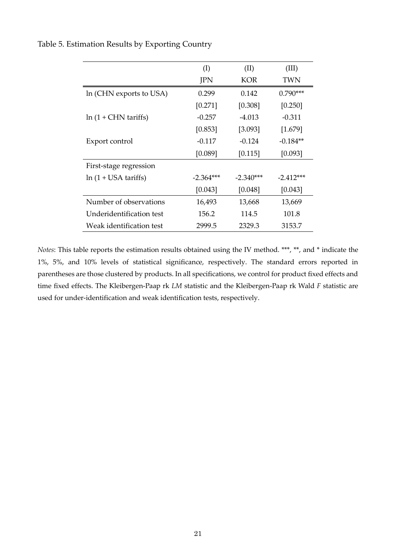|                                    | (I)         | (II)        | (III)       |
|------------------------------------|-------------|-------------|-------------|
|                                    | JPN         | <b>KOR</b>  | TWN         |
| In (CHN exports to USA)            | 0.299       | 0.142       | $0.790***$  |
|                                    | [0.271]     | [0.308]     | [0.250]     |
| $ln(1 + CHN \cdot \text{tariffs})$ | $-0.257$    | $-4.013$    | $-0.311$    |
|                                    | [0.853]     | [3.093]     | [1.679]     |
| Export control                     | $-0.117$    | $-0.124$    | $-0.184**$  |
|                                    | [0.089]     | [0.115]     | [0.093]     |
| First-stage regression             |             |             |             |
| $ln(1 + USA \t{tariffs})$          | $-2.364***$ | $-2.340***$ | $-2.412***$ |
|                                    | [0.043]     | [0.048]     | [0.043]     |
| Number of observations             | 16,493      | 13,668      | 13,669      |
| Underidentification test           | 156.2       | 114.5       | 101.8       |
| Weak identification test           | 2999.5      | 2329.3      | 3153.7      |

Table 5. Estimation Results by Exporting Country

*Notes*: This table reports the estimation results obtained using the IV method. \*\*\*, \*\*, and \* indicate the 1%, 5%, and 10% levels of statistical significance, respectively. The standard errors reported in parentheses are those clustered by products. In all specifications, we control for product fixed effects and time fixed effects. The Kleibergen-Paap rk *LM* statistic and the Kleibergen-Paap rk Wald *F* statistic are used for under-identification and weak identification tests, respectively.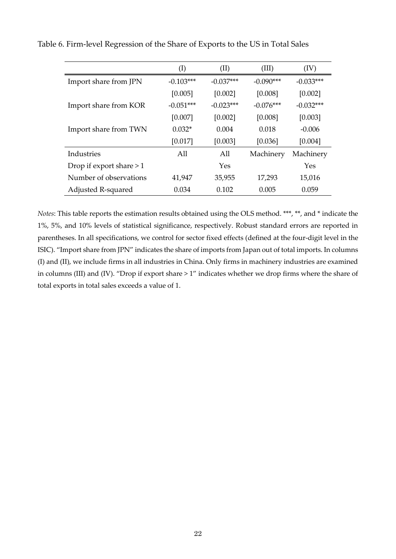|                           | $\rm(I)$    | (II)        | (III)       | (IV)        |
|---------------------------|-------------|-------------|-------------|-------------|
| Import share from JPN     | $-0.103***$ | $-0.037***$ | $-0.090***$ | $-0.033***$ |
|                           | [0.005]     | [0.002]     | [0.008]     | [0.002]     |
| Import share from KOR     | $-0.051***$ | $-0.023***$ | $-0.076***$ | $-0.032***$ |
|                           | [0.007]     | [0.002]     | [0.008]     | [0.003]     |
| Import share from TWN     | $0.032*$    | 0.004       | 0.018       | $-0.006$    |
|                           | [0.017]     | [0.003]     | [0.036]     | [0.004]     |
| Industries                | A11         | All         | Machinery   | Machinery   |
| Drop if export share $>1$ |             | Yes         |             | Yes         |
| Number of observations    | 41,947      | 35,955      | 17,293      | 15,016      |
| Adjusted R-squared        | 0.034       | 0.102       | 0.005       | 0.059       |

Table 6. Firm-level Regression of the Share of Exports to the US in Total Sales

*Notes*: This table reports the estimation results obtained using the OLS method. \*\*\*, \*\*, and \* indicate the 1%, 5%, and 10% levels of statistical significance, respectively. Robust standard errors are reported in parentheses. In all specifications, we control for sector fixed effects (defined at the four-digit level in the ISIC). "Import share from JPN" indicates the share of imports from Japan out of total imports. In columns (I) and (II), we include firms in all industries in China. Only firms in machinery industries are examined in columns (III) and (IV). "Drop if export share > 1" indicates whether we drop firms where the share of total exports in total sales exceeds a value of 1.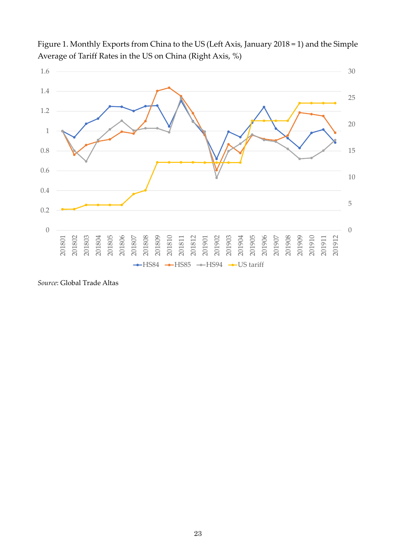

Figure 1. Monthly Exports from China to the US (Left Axis, January 2018 = 1) and the Simple Average of Tariff Rates in the US on China (Right Axis, %)

*Source*: Global Trade Altas